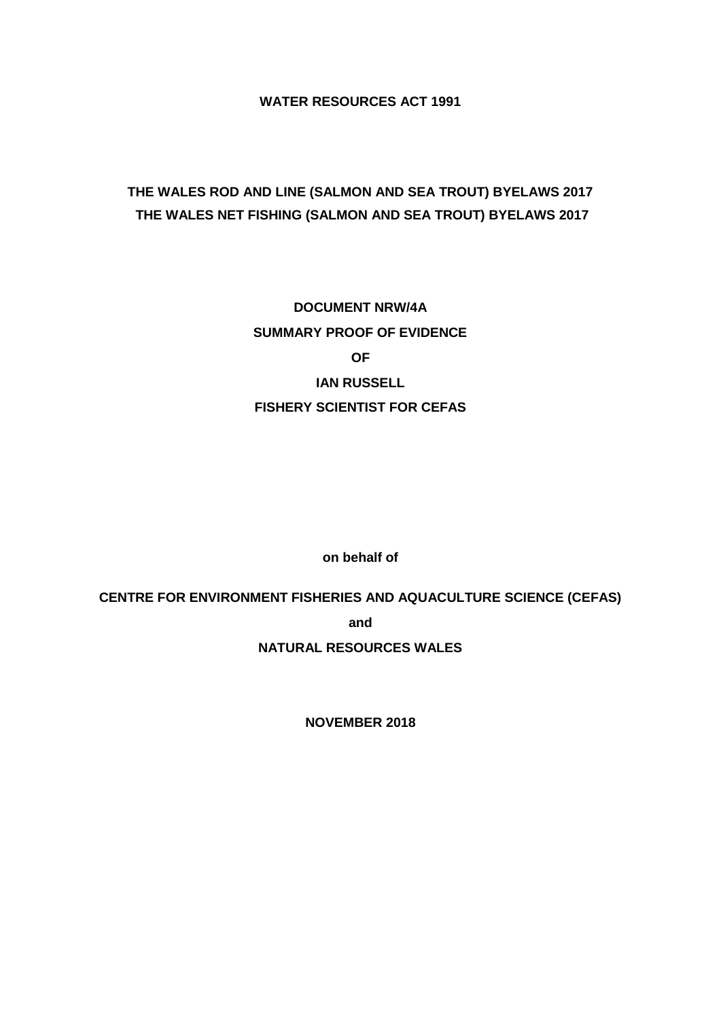**WATER RESOURCES ACT 1991**

# **THE WALES ROD AND LINE (SALMON AND SEA TROUT) BYELAWS 2017 THE WALES NET FISHING (SALMON AND SEA TROUT) BYELAWS 2017**

**DOCUMENT NRW/4A SUMMARY PROOF OF EVIDENCE OF IAN RUSSELL FISHERY SCIENTIST FOR CEFAS**

**on behalf of**

**CENTRE FOR ENVIRONMENT FISHERIES AND AQUACULTURE SCIENCE (CEFAS)**

**and**

**NATURAL RESOURCES WALES**

**NOVEMBER 2018**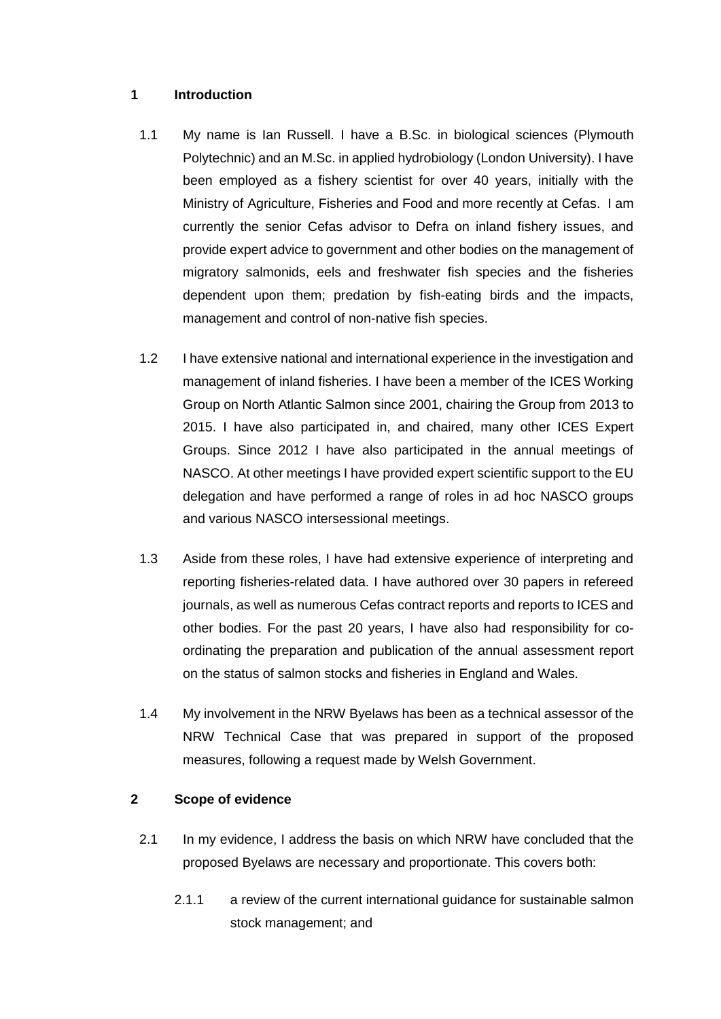### **1 Introduction**

- 1.1 My name is Ian Russell. I have a B.Sc. in biological sciences (Plymouth Polytechnic) and an M.Sc. in applied hydrobiology (London University). I have been employed as a fishery scientist for over 40 years, initially with the Ministry of Agriculture, Fisheries and Food and more recently at Cefas. I am currently the senior Cefas advisor to Defra on inland fishery issues, and provide expert advice to government and other bodies on the management of migratory salmonids, eels and freshwater fish species and the fisheries dependent upon them; predation by fish-eating birds and the impacts, management and control of non-native fish species.
- 1.2 I have extensive national and international experience in the investigation and management of inland fisheries. I have been a member of the ICES Working Group on North Atlantic Salmon since 2001, chairing the Group from 2013 to 2015. I have also participated in, and chaired, many other ICES Expert Groups. Since 2012 I have also participated in the annual meetings of NASCO. At other meetings I have provided expert scientific support to the EU delegation and have performed a range of roles in ad hoc NASCO groups and various NASCO intersessional meetings.
- 1.3 Aside from these roles, I have had extensive experience of interpreting and reporting fisheries-related data. I have authored over 30 papers in refereed journals, as well as numerous Cefas contract reports and reports to ICES and other bodies. For the past 20 years, I have also had responsibility for coordinating the preparation and publication of the annual assessment report on the status of salmon stocks and fisheries in England and Wales.
- 1.4 My involvement in the NRW Byelaws has been as a technical assessor of the NRW Technical Case that was prepared in support of the proposed measures, following a request made by Welsh Government.

### **2 Scope of evidence**

- 2.1 In my evidence, I address the basis on which NRW have concluded that the proposed Byelaws are necessary and proportionate. This covers both:
	- 2.1.1 a review of the current international guidance for sustainable salmon stock management; and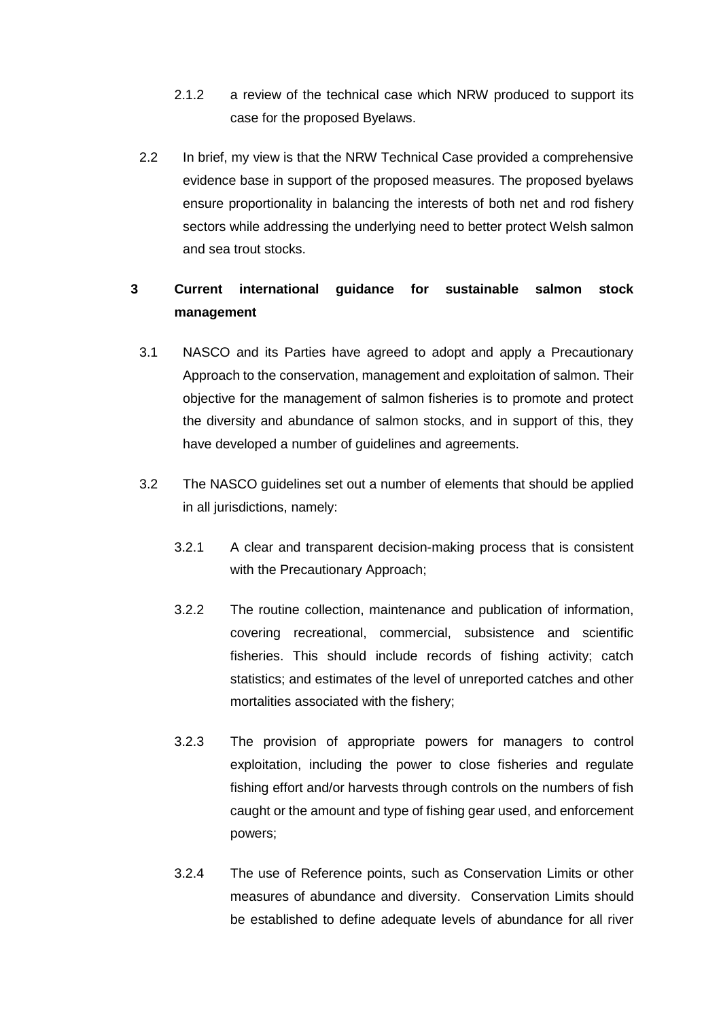- 2.1.2 a review of the technical case which NRW produced to support its case for the proposed Byelaws.
- 2.2 In brief, my view is that the NRW Technical Case provided a comprehensive evidence base in support of the proposed measures. The proposed byelaws ensure proportionality in balancing the interests of both net and rod fishery sectors while addressing the underlying need to better protect Welsh salmon and sea trout stocks.

## **3 Current international guidance for sustainable salmon stock management**

- 3.1 NASCO and its Parties have agreed to adopt and apply a Precautionary Approach to the conservation, management and exploitation of salmon. Their objective for the management of salmon fisheries is to promote and protect the diversity and abundance of salmon stocks, and in support of this, they have developed a number of guidelines and agreements.
- 3.2 The NASCO guidelines set out a number of elements that should be applied in all jurisdictions, namely:
	- 3.2.1 A clear and transparent decision-making process that is consistent with the Precautionary Approach;
	- 3.2.2 The routine collection, maintenance and publication of information, covering recreational, commercial, subsistence and scientific fisheries. This should include records of fishing activity; catch statistics; and estimates of the level of unreported catches and other mortalities associated with the fishery;
	- 3.2.3 The provision of appropriate powers for managers to control exploitation, including the power to close fisheries and regulate fishing effort and/or harvests through controls on the numbers of fish caught or the amount and type of fishing gear used, and enforcement powers;
	- 3.2.4 The use of Reference points, such as Conservation Limits or other measures of abundance and diversity. Conservation Limits should be established to define adequate levels of abundance for all river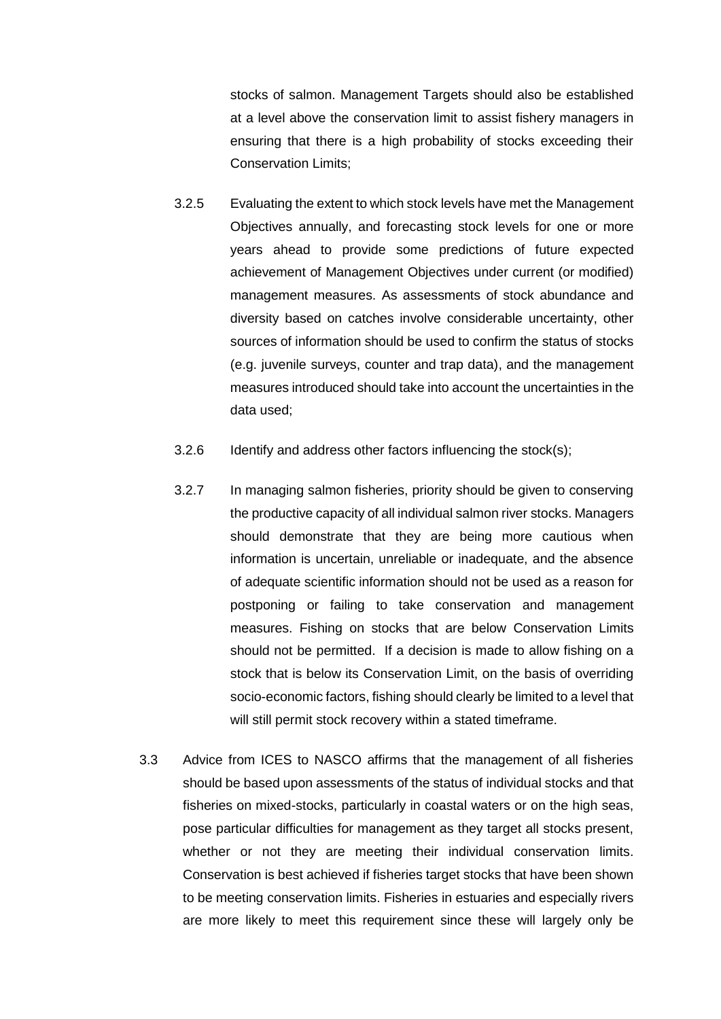stocks of salmon. Management Targets should also be established at a level above the conservation limit to assist fishery managers in ensuring that there is a high probability of stocks exceeding their Conservation Limits;

- 3.2.5 Evaluating the extent to which stock levels have met the Management Objectives annually, and forecasting stock levels for one or more years ahead to provide some predictions of future expected achievement of Management Objectives under current (or modified) management measures. As assessments of stock abundance and diversity based on catches involve considerable uncertainty, other sources of information should be used to confirm the status of stocks (e.g. juvenile surveys, counter and trap data), and the management measures introduced should take into account the uncertainties in the data used;
- 3.2.6 Identify and address other factors influencing the stock(s);
- 3.2.7 In managing salmon fisheries, priority should be given to conserving the productive capacity of all individual salmon river stocks. Managers should demonstrate that they are being more cautious when information is uncertain, unreliable or inadequate, and the absence of adequate scientific information should not be used as a reason for postponing or failing to take conservation and management measures. Fishing on stocks that are below Conservation Limits should not be permitted. If a decision is made to allow fishing on a stock that is below its Conservation Limit, on the basis of overriding socio-economic factors, fishing should clearly be limited to a level that will still permit stock recovery within a stated timeframe.
- 3.3 Advice from ICES to NASCO affirms that the management of all fisheries should be based upon assessments of the status of individual stocks and that fisheries on mixed-stocks, particularly in coastal waters or on the high seas, pose particular difficulties for management as they target all stocks present, whether or not they are meeting their individual conservation limits. Conservation is best achieved if fisheries target stocks that have been shown to be meeting conservation limits. Fisheries in estuaries and especially rivers are more likely to meet this requirement since these will largely only be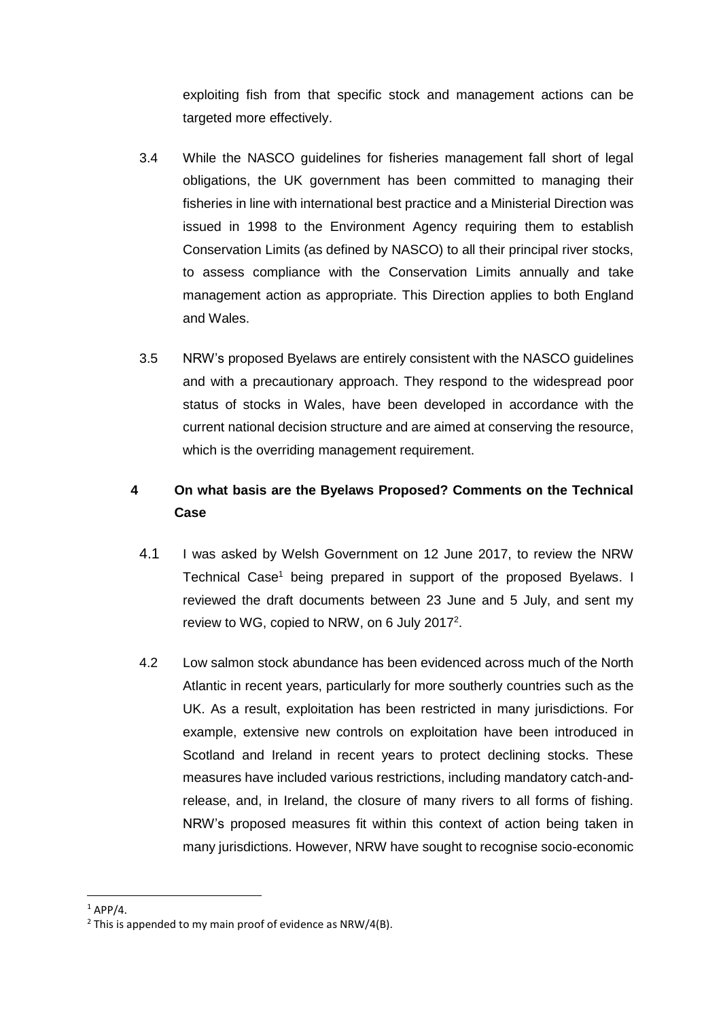exploiting fish from that specific stock and management actions can be targeted more effectively.

- 3.4 While the NASCO guidelines for fisheries management fall short of legal obligations, the UK government has been committed to managing their fisheries in line with international best practice and a Ministerial Direction was issued in 1998 to the Environment Agency requiring them to establish Conservation Limits (as defined by NASCO) to all their principal river stocks, to assess compliance with the Conservation Limits annually and take management action as appropriate. This Direction applies to both England and Wales.
- 3.5 NRW's proposed Byelaws are entirely consistent with the NASCO guidelines and with a precautionary approach. They respond to the widespread poor status of stocks in Wales, have been developed in accordance with the current national decision structure and are aimed at conserving the resource, which is the overriding management requirement.

# **4 On what basis are the Byelaws Proposed? Comments on the Technical Case**

- 4.1 I was asked by Welsh Government on 12 June 2017, to review the NRW Technical Case<sup>1</sup> being prepared in support of the proposed Byelaws. I reviewed the draft documents between 23 June and 5 July, and sent my review to WG, copied to NRW, on 6 July 2017<sup>2</sup>.
- 4.2 Low salmon stock abundance has been evidenced across much of the North Atlantic in recent years, particularly for more southerly countries such as the UK. As a result, exploitation has been restricted in many jurisdictions. For example, extensive new controls on exploitation have been introduced in Scotland and Ireland in recent years to protect declining stocks. These measures have included various restrictions, including mandatory catch-andrelease, and, in Ireland, the closure of many rivers to all forms of fishing. NRW's proposed measures fit within this context of action being taken in many jurisdictions. However, NRW have sought to recognise socio-economic

**.** 

 $1$  APP/4

 $2$  This is appended to my main proof of evidence as NRW/4(B).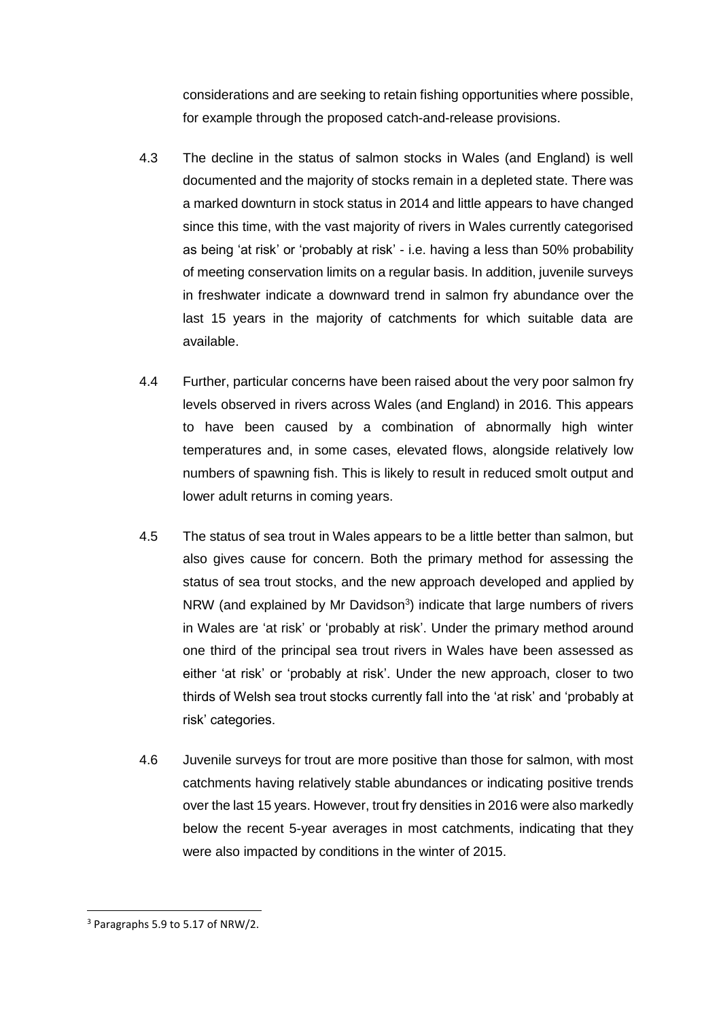considerations and are seeking to retain fishing opportunities where possible, for example through the proposed catch-and-release provisions.

- 4.3 The decline in the status of salmon stocks in Wales (and England) is well documented and the majority of stocks remain in a depleted state. There was a marked downturn in stock status in 2014 and little appears to have changed since this time, with the vast majority of rivers in Wales currently categorised as being 'at risk' or 'probably at risk' - i.e. having a less than 50% probability of meeting conservation limits on a regular basis. In addition, juvenile surveys in freshwater indicate a downward trend in salmon fry abundance over the last 15 years in the majority of catchments for which suitable data are available.
- 4.4 Further, particular concerns have been raised about the very poor salmon fry levels observed in rivers across Wales (and England) in 2016. This appears to have been caused by a combination of abnormally high winter temperatures and, in some cases, elevated flows, alongside relatively low numbers of spawning fish. This is likely to result in reduced smolt output and lower adult returns in coming years.
- 4.5 The status of sea trout in Wales appears to be a little better than salmon, but also gives cause for concern. Both the primary method for assessing the status of sea trout stocks, and the new approach developed and applied by NRW (and explained by Mr Davidson<sup>3</sup>) indicate that large numbers of rivers in Wales are 'at risk' or 'probably at risk'. Under the primary method around one third of the principal sea trout rivers in Wales have been assessed as either 'at risk' or 'probably at risk'. Under the new approach, closer to two thirds of Welsh sea trout stocks currently fall into the 'at risk' and 'probably at risk' categories.
- 4.6 Juvenile surveys for trout are more positive than those for salmon, with most catchments having relatively stable abundances or indicating positive trends over the last 15 years. However, trout fry densities in 2016 were also markedly below the recent 5-year averages in most catchments, indicating that they were also impacted by conditions in the winter of 2015.

**.** 

<sup>3</sup> Paragraphs 5.9 to 5.17 of NRW/2.